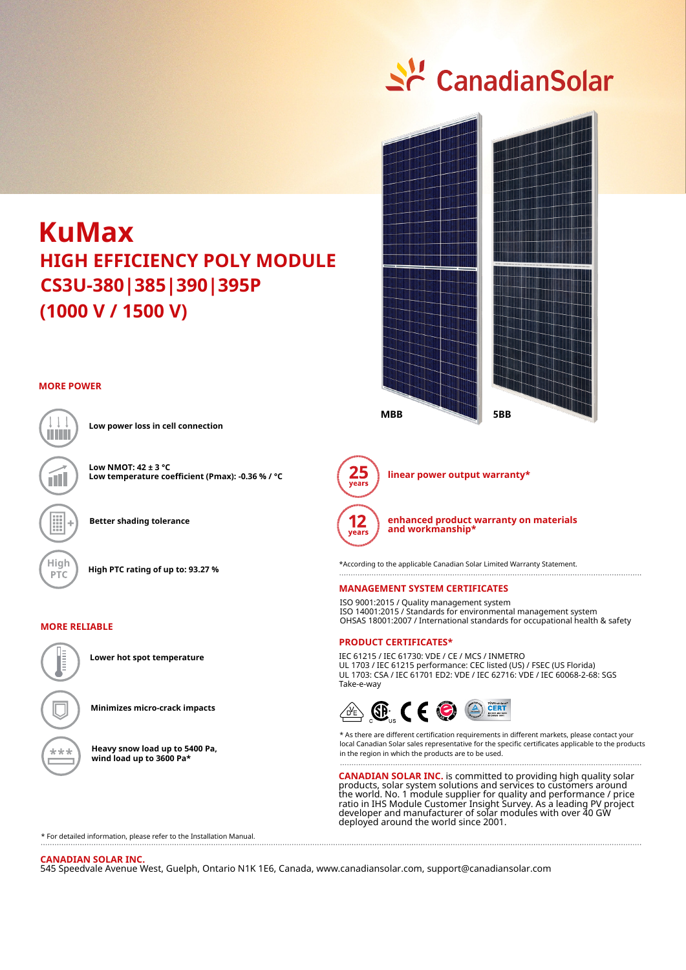## <u>수</u> CanadianSolar

### **CS3U-380|385|390|395P (1000 V / 1500 V) KuMax HIGH EFFICIENCY POLY MODULE**

#### **MORE POWER**



**Low power loss in cell connection**

**Low NMOT: 42 ± 3 °C Low temperature coefficient (Pmax): -0.36 % / °C**

**Better shading tolerance**

#### **MORE RELIABLE**



**Lower hot spot temperature**

**Minimizes micro-crack impacts**

**Heavy snow load up to 5400 Pa, wind load up to 3600 Pa\***





**linear power output warranty\***



**High High PTC rating of up to: 93.27 %** \* \*According to the applicable Canadian Solar Limited Warranty Statement.

#### **MANAGEMENT SYSTEM CERTIFICATES**

ISO 9001:2015 / Quality management system ISO 14001:2015 / Standards for environmental management system OHSAS 18001:2007 / International standards for occupational health & safety

#### **PRODUCT CERTIFICATES\***

IEC 61215 / IEC 61730: VDE / CE / MCS / INMETRO UL 1703 / IEC 61215 performance: CEC listed (US) / FSEC (US Florida) UL 1703: CSA / IEC 61701 ED2: VDE / IEC 62716: VDE / IEC 60068-2-68: SGS Take-e-way



\* As there are different certification requirements in different markets, please contact your local Canadian Solar sales representative for the specific certificates applicable to the products in the region in which the products are to be used.

**CANADIAN SOLAR INC.** is committed to providing high quality solar products, solar system solutions and services to customers around the world. No. 1 module supplier for quality and performance / price ratio in IHS Module Customer Insight Survey. As a leading PV project developer and manufacturer of solar modules with over 40 GW deployed around the world since 2001.

\* For detailed information, please refer to the Installation Manual.

#### **CANADIAN SOLAR INC.**

545 Speedvale Avenue West, Guelph, Ontario N1K 1E6, Canada, www.canadiansolar.com, support@canadiansolar.com